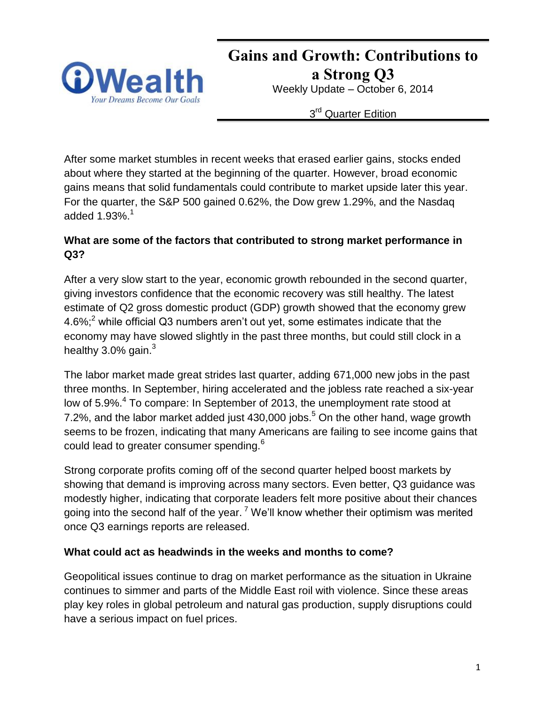

**Gains and Growth: Contributions to a Strong Q3** Weekly Update – October 6, 2014

3<sup>rd</sup> Quarter Edition

After some market stumbles in recent weeks that erased earlier gains, stocks ended about where they started at the beginning of the quarter. However, broad economic gains means that solid fundamentals could contribute to market upside later this year. For the quarter, the S&P 500 gained 0.62%, the Dow grew 1.29%, and the Nasdaq added  $1.93\%$ <sup>1</sup>

# **What are some of the factors that contributed to strong market performance in Q3?**

After a very slow start to the year, economic growth rebounded in the second quarter, giving investors confidence that the economic recovery was still healthy. The latest estimate of Q2 gross domestic product (GDP) growth showed that the economy grew 4.6%;<sup>2</sup> while official Q3 numbers aren't out yet, some estimates indicate that the economy may have slowed slightly in the past three months, but could still clock in a healthy  $3.0\%$  gain.<sup>3</sup>

The labor market made great strides last quarter, adding 671,000 new jobs in the past three months. In September, hiring accelerated and the jobless rate reached a six-year low of 5.9%.<sup>4</sup> To compare: In September of 2013, the unemployment rate stood at 7.2%, and the labor market added just 430,000 jobs.<sup>5</sup> On the other hand, wage growth seems to be frozen, indicating that many Americans are failing to see income gains that could lead to greater consumer spending.<sup>6</sup>

Strong corporate profits coming off of the second quarter helped boost markets by showing that demand is improving across many sectors. Even better, Q3 guidance was modestly higher, indicating that corporate leaders felt more positive about their chances going into the second half of the year.<sup>7</sup> We'll know whether their optimism was merited once Q3 earnings reports are released.

### **What could act as headwinds in the weeks and months to come?**

Geopolitical issues continue to drag on market performance as the situation in Ukraine continues to simmer and parts of the Middle East roil with violence. Since these areas play key roles in global petroleum and natural gas production, supply disruptions could have a serious impact on fuel prices.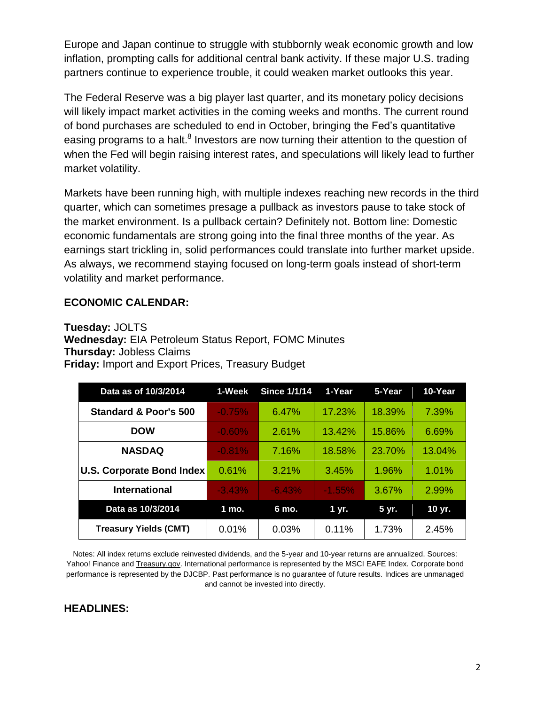Europe and Japan continue to struggle with stubbornly weak economic growth and low inflation, prompting calls for additional central bank activity. If these major U.S. trading partners continue to experience trouble, it could weaken market outlooks this year.

The Federal Reserve was a big player last quarter, and its monetary policy decisions will likely impact market activities in the coming weeks and months. The current round of bond purchases are scheduled to end in October, bringing the Fed's quantitative easing programs to a halt.<sup>8</sup> Investors are now turning their attention to the question of when the Fed will begin raising interest rates, and speculations will likely lead to further market volatility.

Markets have been running high, with multiple indexes reaching new records in the third quarter, which can sometimes presage a pullback as investors pause to take stock of the market environment. Is a pullback certain? Definitely not. Bottom line: Domestic economic fundamentals are strong going into the final three months of the year. As earnings start trickling in, solid performances could translate into further market upside. As always, we recommend staying focused on long-term goals instead of short-term volatility and market performance.

### **ECONOMIC CALENDAR:**

**Tuesday:** JOLTS **Wednesday:** EIA Petroleum Status Report, FOMC Minutes **Thursday:** Jobless Claims **Friday:** Import and Export Prices, Treasury Budget

| Data as of 10/3/2014         | 1-Week   | <b>Since 1/1/14</b> | 1-Year   | 5-Year | 10-Year |
|------------------------------|----------|---------------------|----------|--------|---------|
| Standard & Poor's 500        | $-0.75%$ | 6.47%               | 17.23%   | 18.39% | 7.39%   |
| <b>DOW</b>                   | $-0.60%$ | 2.61%               | 13.42%   | 15.86% | 6.69%   |
| <b>NASDAQ</b>                | $-0.81%$ | 7.16%               | 18.58%   | 23.70% | 13.04%  |
| U.S. Corporate Bond Index    | 0.61%    | 3.21%               | 3.45%    | 1.96%  | 1.01%   |
| <b>International</b>         | $-3.43%$ | $-6.43%$            | $-1.55%$ | 3.67%  | 2.99%   |
| Data as 10/3/2014            | 1 mo.    | 6 mo.               | 1 yr.    | 5 yr.  | 10 yr.  |
| <b>Treasury Yields (CMT)</b> | 0.01%    | 0.03%               | 0.11%    | 1.73%  | 2.45%   |

Notes: All index returns exclude reinvested dividends, and the 5-year and 10-year returns are annualized. Sources: Yahoo! Finance and [Treasury.gov.](http://treasury.gov/) International performance is represented by the MSCI EAFE Index. Corporate bond performance is represented by the DJCBP. Past performance is no guarantee of future results. Indices are unmanaged and cannot be invested into directly.

#### **HEADLINES:**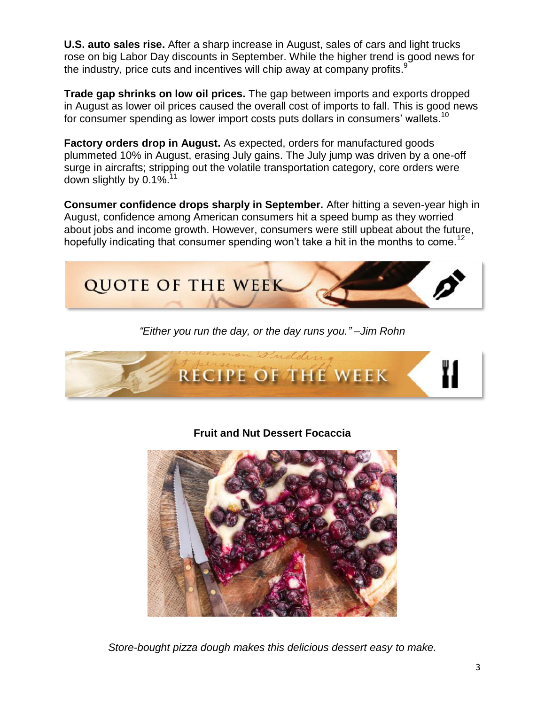**U.S. auto sales rise.** After a sharp increase in August, sales of cars and light trucks rose on big Labor Day discounts in September. While the higher trend is good news for the industry, price cuts and incentives will chip away at company profits.<sup>9</sup>

**Trade gap shrinks on low oil prices.** The gap between imports and exports dropped in August as lower oil prices caused the overall cost of imports to fall. This is good news for consumer spending as lower import costs puts dollars in consumers' wallets.<sup>10</sup>

**Factory orders drop in August.** As expected, orders for manufactured goods plummeted 10% in August, erasing July gains. The July jump was driven by a one-off surge in aircrafts; stripping out the volatile transportation category, core orders were down slightly by  $0.1\%$ <sup>11</sup>

**Consumer confidence drops sharply in September.** After hitting a seven-year high in August, confidence among American consumers hit a speed bump as they worried about jobs and income growth. However, consumers were still upbeat about the future, hopefully indicating that consumer spending won't take a hit in the months to come.<sup>12</sup>



*"Either you run the day, or the day runs you." –Jim Rohn*



**Fruit and Nut Dessert Focaccia**



*Store-bought pizza dough makes this delicious dessert easy to make.*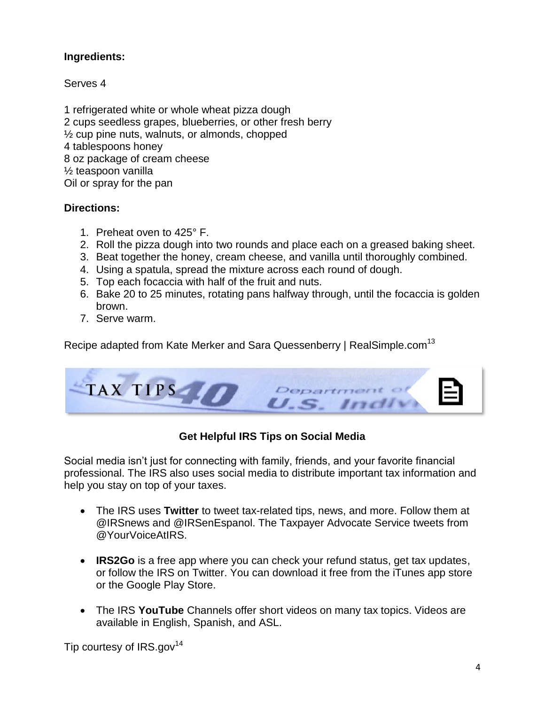### **Ingredients:**

Serves 4

1 refrigerated white or whole wheat pizza dough 2 cups seedless grapes, blueberries, or other fresh berry  $\frac{1}{2}$  cup pine nuts, walnuts, or almonds, chopped 4 tablespoons honey 8 oz package of cream cheese ½ teaspoon vanilla Oil or spray for the pan

# **Directions:**

- 1. Preheat oven to 425° F.
- 2. Roll the pizza dough into two rounds and place each on a greased baking sheet.
- 3. Beat together the honey, cream cheese, and vanilla until thoroughly combined.
- 4. Using a spatula, spread the mixture across each round of dough.
- 5. Top each focaccia with half of the fruit and nuts.
- 6. Bake 20 to 25 minutes, rotating pans halfway through, until the focaccia is golden brown.
- 7. Serve warm.

Recipe adapted from Kate Merker and Sara Quessenberry | RealSimple.com<sup>13</sup>



# **Get Helpful IRS Tips on Social Media**

Social media isn't just for connecting with family, friends, and your favorite financial professional. The IRS also uses social media to distribute important tax information and help you stay on top of your taxes.

- The IRS uses **Twitter** to tweet tax-related tips, news, and more. Follow them at @IRSnews and @IRSenEspanol. The Taxpayer Advocate Service tweets from @YourVoiceAtIRS.
- **IRS2Go** is a free app where you can check your refund status, get tax updates, or follow the IRS on Twitter. You can download it free from the iTunes app store or the Google Play Store.
- The IRS **YouTube** Channels offer short videos on many tax topics. Videos are available in English, Spanish, and ASL.

Tip courtesy of  $IRS.gov<sup>14</sup>$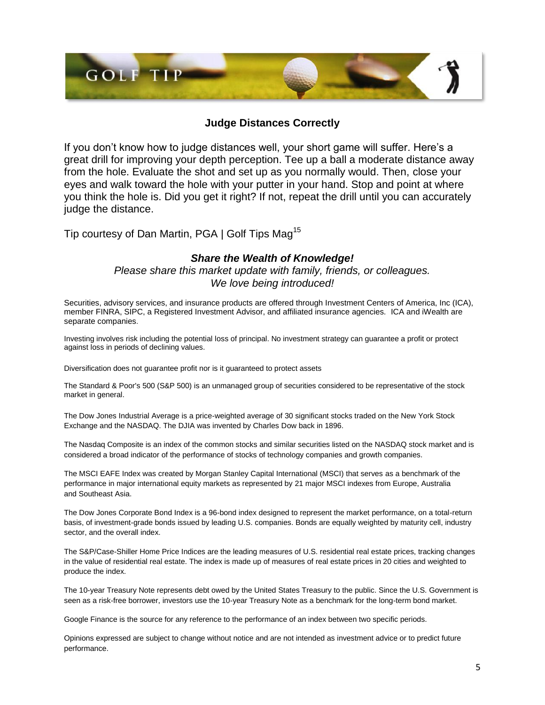

#### **Judge Distances Correctly**

If you don't know how to judge distances well, your short game will suffer. Here's a great drill for improving your depth perception. Tee up a ball a moderate distance away from the hole. Evaluate the shot and set up as you normally would. Then, close your eyes and walk toward the hole with your putter in your hand. Stop and point at where you think the hole is. Did you get it right? If not, repeat the drill until you can accurately judge the distance.

Tip courtesy of Dan Martin, PGA | Golf Tips Mag<sup>15</sup>

#### *Share the Wealth of Knowledge!*

*Please share this market update with family, friends, or colleagues. We love being introduced!*

Securities, advisory services, and insurance products are offered through Investment Centers of America, Inc (ICA), member FINRA, SIPC, a Registered Investment Advisor, and affiliated insurance agencies. ICA and iWealth are separate companies.

Investing involves risk including the potential loss of principal. No investment strategy can guarantee a profit or protect against loss in periods of declining values.

Diversification does not guarantee profit nor is it guaranteed to protect assets

The Standard & Poor's 500 (S&P 500) is an unmanaged group of securities considered to be representative of the stock market in general.

The Dow Jones Industrial Average is a price-weighted average of 30 significant stocks traded on the New York Stock Exchange and the NASDAQ. The DJIA was invented by Charles Dow back in 1896.

The Nasdaq Composite is an index of the common stocks and similar securities listed on the NASDAQ stock market and is considered a broad indicator of the performance of stocks of technology companies and growth companies.

The MSCI EAFE Index was created by Morgan Stanley Capital International (MSCI) that serves as a benchmark of the performance in major international equity markets as represented by 21 major MSCI indexes from Europe, Australia and Southeast Asia.

The Dow Jones Corporate Bond Index is a 96-bond index designed to represent the market performance, on a total-return basis, of investment-grade bonds issued by leading U.S. companies. Bonds are equally weighted by maturity cell, industry sector, and the overall index.

The S&P/Case-Shiller Home Price Indices are the leading measures of U.S. residential real estate prices, tracking changes in the value of residential real estate. The index is made up of measures of real estate prices in 20 cities and weighted to produce the index.

The 10-year Treasury Note represents debt owed by the United States Treasury to the public. Since the U.S. Government is seen as a risk-free borrower, investors use the 10-year Treasury Note as a benchmark for the long-term bond market.

Google Finance is the source for any reference to the performance of an index between two specific periods.

Opinions expressed are subject to change without notice and are not intended as investment advice or to predict future performance.